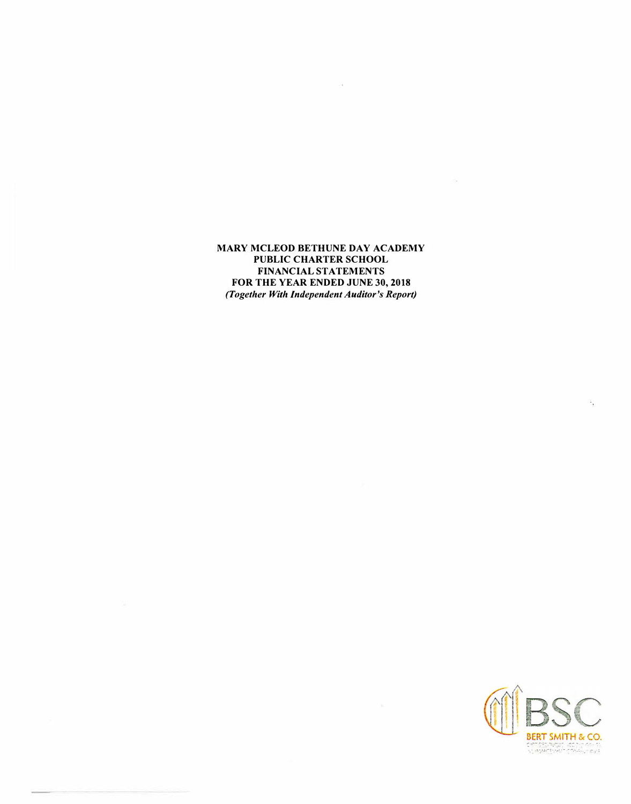**MARY MCLEOD BETHUNE DAY ACADEMY PUBLIC CHARTER SCHOOL FINANCIAL STATEMENTS FOR THE YEAR ENDED JUNE 30, 2018**  *(Together With Independent Auditor's Report)* 

 $\sim$ 



檬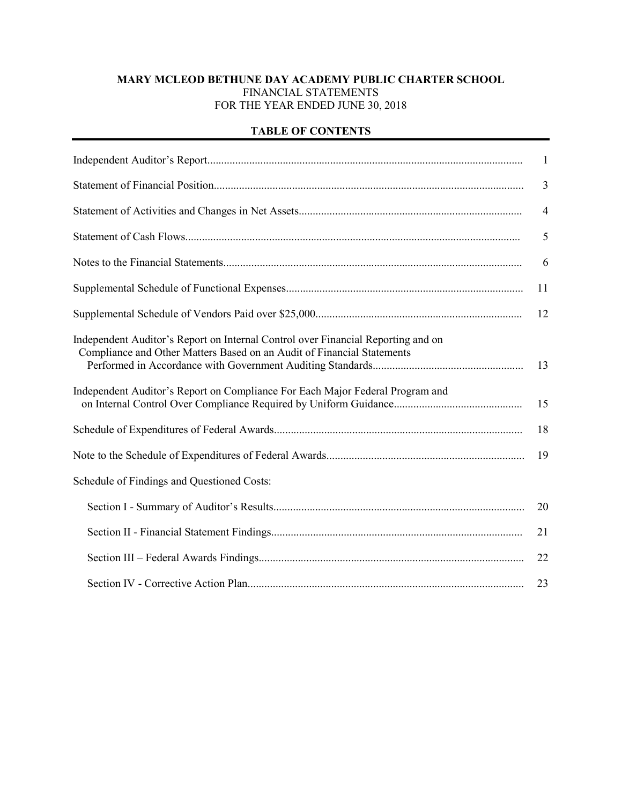## **MARY MCLEOD BETHUNE DAY ACADEMY PUBLIC CHARTER SCHOOL** FINANCIAL STATEMENTS FOR THE YEAR ENDED JUNE 30, 2018

## **TABLE OF CONTENTS**

|                                                                                                                                                            | $\mathbf{1}$   |
|------------------------------------------------------------------------------------------------------------------------------------------------------------|----------------|
|                                                                                                                                                            | $\overline{3}$ |
|                                                                                                                                                            | $\overline{4}$ |
|                                                                                                                                                            | 5              |
|                                                                                                                                                            | 6              |
|                                                                                                                                                            | 11             |
|                                                                                                                                                            | 12             |
| Independent Auditor's Report on Internal Control over Financial Reporting and on<br>Compliance and Other Matters Based on an Audit of Financial Statements | 13             |
| Independent Auditor's Report on Compliance For Each Major Federal Program and                                                                              | 15             |
|                                                                                                                                                            | 18             |
|                                                                                                                                                            | 19             |
| Schedule of Findings and Questioned Costs:                                                                                                                 |                |
|                                                                                                                                                            | 20             |
|                                                                                                                                                            | 21             |
|                                                                                                                                                            | 22             |
|                                                                                                                                                            | 23             |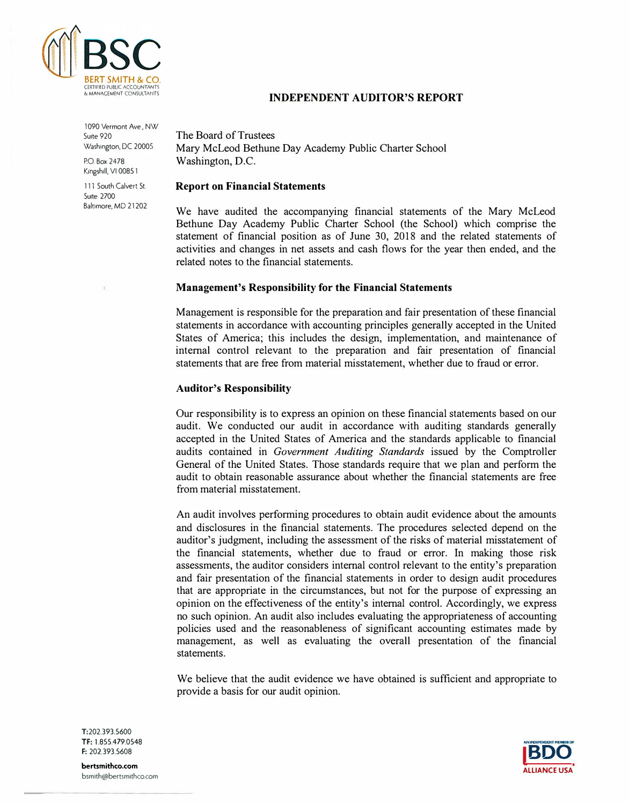

## **INDEPENDENT AUDITOR'S REPORT**

1090 Vermont Ave., NW Suite 920 Washington, DC 20005

P.O. Box 2478 Kingshill, VI 00851

111 South Calvert St. Suite 2700 Baltimore, MD 21202 The Board of Trustees Mary McLeod Bethune Day Academy Public Charter School Washington, D.C.

#### **Report on Financial Statements**

We have audited the accompanying financial statements of the Mary McLeod Bethune Day Academy Public Charter School (the School) which comprise the statement of financial position as of June 30, 2018 and the related statements of activities and changes in net assets and cash flows for the year then ended, and the related notes to the financial statements.

#### **Management's Responsibility for the Financial Statements**

Management is responsible for the preparation and fair presentation of these financial statements in accordance with accounting principles generally accepted in the United States of America; this includes the design, implementation, and maintenance of internal control relevant to the preparation and fair presentation of financial statements that are free from material misstatement, whether due to fraud or error.

#### **Auditor's Responsibility**

Our responsibility is to express an opinion on these financial statements based on our audit. We conducted our audit in accordance with auditing standards generally accepted in the United States of America and the standards applicable to financial audits contained in *Government Auditing Standards* issued by the Comptroller General of the United States. Those standards require that we plan and perform the audit to obtain reasonable assurance about whether the financial statements are free from material misstatement.

An audit involves performing procedures to obtain audit evidence about the amounts and disclosures in the financial statements. The procedures selected depend on the auditor's judgment, including the assessment of the risks of material misstatement of the financial statements, whether due to fraud or error. In making those risk assessments, the auditor considers internal control relevant to the entity's preparation and fair presentation of the financial statements in order to design audit procedures that are appropriate in the circumstances, but not for the purpose of expressing an opinion on the effectiveness of the entity's internal control. Accordingly, we express no such opinion. An audit also includes evaluating the appropriateness of accounting policies used and the reasonableness of significant accounting estimates made by management, as well as evaluating the overall presentation of the financial statements.

We believe that the audit evidence we have obtained is sufficient and appropriate to provide a basis for our audit opinion.



T:202.393.5600 TF: 1.855.479.0548 F: 202.393.5608

**bertsmithco.com**  bsm1th@bertsm1thco.com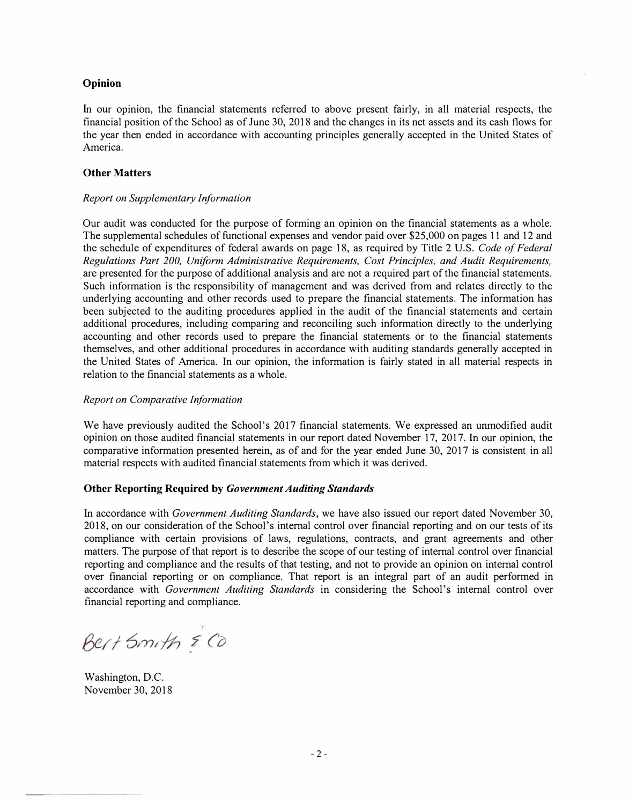#### **Opinion**

In our opinion, the financial statements referred to above present fairly, in all material respects, the financial position of the School as of June 30, 2018 and the changes in its net assets and its cash flows for the year then ended in accordance with accounting principles generally accepted in the United States of America.

#### **Other Matters**

#### *Report on Supplementary Information*

Our audit was conducted for the purpose of forming an opinion on the financial statements as a whole. The supplemental schedules of functional expenses and vendor paid over \$25,000 on pages 11 and 12 and the schedule of expenditures of federal awards on page 18, as required by Title 2 U.S. *Code of Federal Regulations Part 200, Uniform Administrative Requirements, Cost Principles, and Audit Requirements,*  are presented for the purpose of additional analysis and are not a required part of the financial statements. Such information is the responsibility of management and was derived from and relates directly to the underlying accounting and other records used to prepare the financial statements. The information has been subjected to the auditing procedures applied in the audit of the financial statements and certain additional procedures, including comparing and reconciling such information directly to the underlying accounting and other records used to prepare the financial statements or to the financial statements themselves, and other additional procedures in accordance with auditing standards generally accepted in the United States of America. In our opinion, the information is fairly stated in all material respects in relation to the financial statements as a whole.

#### *Report on Comparative Information*

We have previously audited the School's 2017 financial statements. We expressed an unmodified audit opinion on those audited financial statements in our report dated November 17, 2017. In our opinion, the comparative information presented herein, as of and for the year ended June 30, 2017 is consistent in all material respects with audited financial statements from which it was derived.

#### **Other Reporting Required by** *Government Auditing Standards*

In accordance with *Government Auditing Standards,* we have also issued our report dated November 30, 2018, on our consideration of the School's internal control over financial reporting and on our tests of its compliance with certain provisions of laws, regulations, contracts, and grant agreements and other matters. The purpose of that report is to describe the scope of our testing of internal control over financial reporting and compliance and the results of that testing, and not to provide an opinion on internal control over financial reporting or on compliance. That report is an integral part of an audit performed in accordance with *Government Auditing Standards* in considering the School's internal control over financial reporting and compliance.

Bert Smith & Co

Washington, D.C. November 30, 2018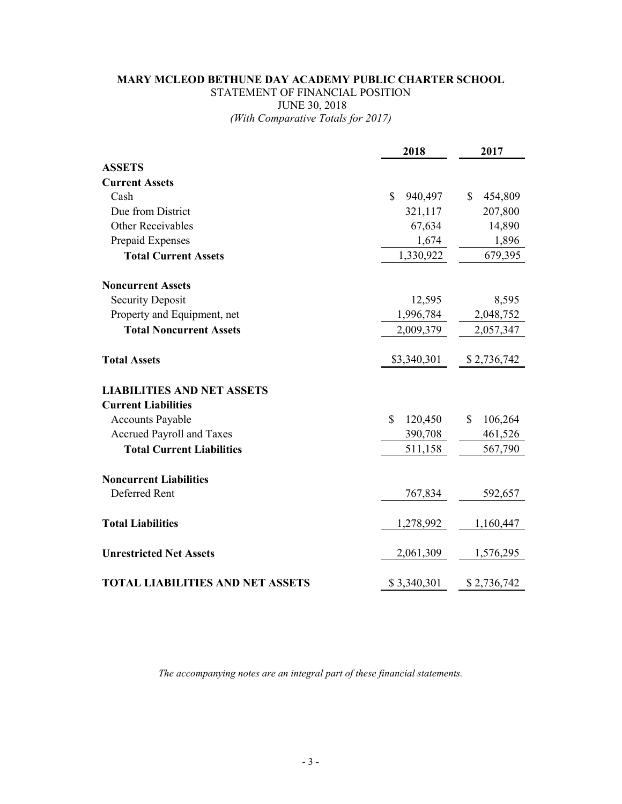## **MARY MCLEOD BETHUNE DAY ACADEMY PUBLIC CHARTER SCHOOL** STATEMENT OF FINANCIAL POSITION JUNE 30, 2018 *(With Comparative Totals for 2017)*

|                                         | 2018                     | 2017          |
|-----------------------------------------|--------------------------|---------------|
| <b>ASSETS</b>                           |                          |               |
| <b>Current Assets</b>                   |                          |               |
| Cash                                    | \$<br>940,497            | \$<br>454,809 |
| Due from District                       | 321,117                  | 207,800       |
| <b>Other Receivables</b>                | 67,634                   | 14,890        |
| Prepaid Expenses                        | 1,674                    | 1,896         |
| <b>Total Current Assets</b>             | 1,330,922                | 679,395       |
| <b>Noncurrent Assets</b>                |                          |               |
| <b>Security Deposit</b>                 | 12,595                   | 8,595         |
| Property and Equipment, net             | 1,996,784                | 2,048,752     |
| <b>Total Noncurrent Assets</b>          | 2,009,379                | 2,057,347     |
| <b>Total Assets</b>                     | \$3,340,301              | \$2,736,742   |
| <b>LIABILITIES AND NET ASSETS</b>       |                          |               |
| <b>Current Liabilities</b>              |                          |               |
| <b>Accounts Payable</b>                 | $\mathcal{S}$<br>120,450 | \$<br>106,264 |
| <b>Accrued Payroll and Taxes</b>        | 390,708                  | 461,526       |
| <b>Total Current Liabilities</b>        | 511,158                  | 567,790       |
| <b>Noncurrent Liabilities</b>           |                          |               |
| Deferred Rent                           | 767,834                  | 592,657       |
| <b>Total Liabilities</b>                | 1,278,992                | 1,160,447     |
| <b>Unrestricted Net Assets</b>          | 2,061,309                | 1,576,295     |
| <b>TOTAL LIABILITIES AND NET ASSETS</b> | \$3,340,301              | \$2,736,742   |

*The accompanying notes are an integral part of these financial statements.*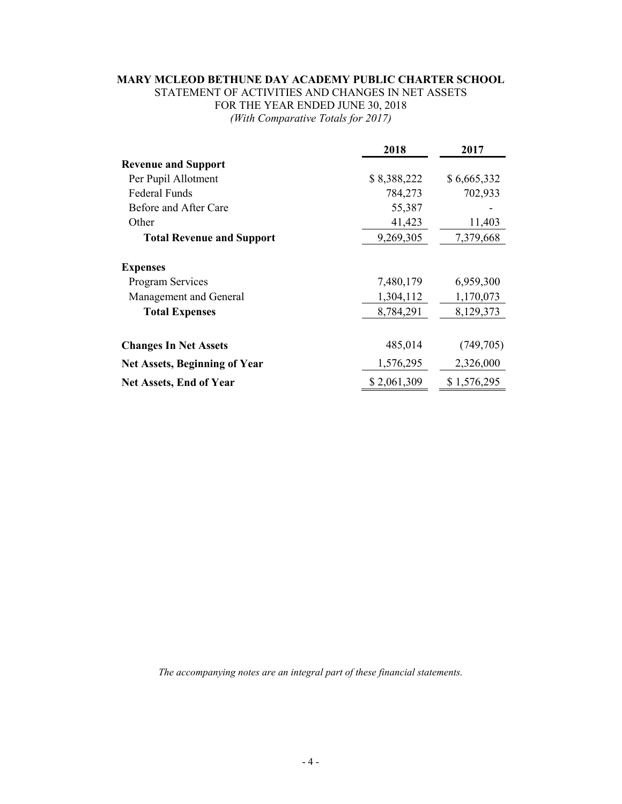# **MARY MCLEOD BETHUNE DAY ACADEMY PUBLIC CHARTER SCHOOL**

STATEMENT OF ACTIVITIES AND CHANGES IN NET ASSETS FOR THE YEAR ENDED JUNE 30, 2018 *(With Comparative Totals for 2017)*

|                                      | 2018        | 2017        |
|--------------------------------------|-------------|-------------|
| <b>Revenue and Support</b>           |             |             |
| Per Pupil Allotment                  | \$8,388,222 | \$6,665,332 |
| <b>Federal Funds</b>                 | 784,273     | 702,933     |
| Before and After Care                | 55,387      |             |
| Other                                | 41,423      | 11,403      |
| <b>Total Revenue and Support</b>     | 9,269,305   | 7,379,668   |
| <b>Expenses</b>                      |             |             |
| <b>Program Services</b>              | 7,480,179   | 6,959,300   |
| Management and General               | 1,304,112   | 1,170,073   |
| <b>Total Expenses</b>                | 8,784,291   | 8,129,373   |
|                                      |             |             |
| <b>Changes In Net Assets</b>         | 485,014     | (749,705)   |
| <b>Net Assets, Beginning of Year</b> | 1,576,295   | 2,326,000   |
| <b>Net Assets, End of Year</b>       | \$2,061,309 | \$1,576,295 |

*The accompanying notes are an integral part of these financial statements.*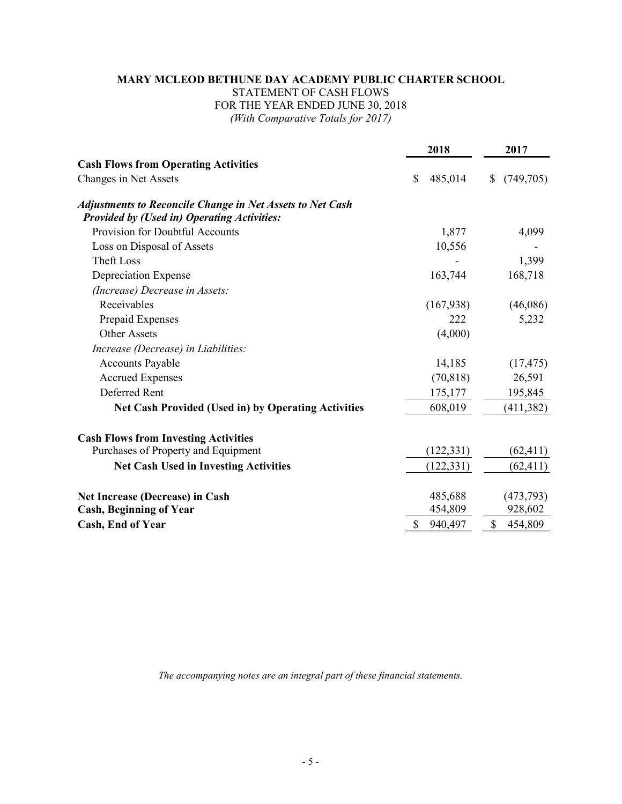## **MARY MCLEOD BETHUNE DAY ACADEMY PUBLIC CHARTER SCHOOL** STATEMENT OF CASH FLOWS FOR THE YEAR ENDED JUNE 30, 2018 *(With Comparative Totals for 2017)*

|                                                                                                                        | 2018                     | 2017             |
|------------------------------------------------------------------------------------------------------------------------|--------------------------|------------------|
| <b>Cash Flows from Operating Activities</b>                                                                            |                          |                  |
| Changes in Net Assets                                                                                                  | \$<br>485,014            | (749, 705)<br>\$ |
| <b>Adjustments to Reconcile Change in Net Assets to Net Cash</b><br><b>Provided by (Used in) Operating Activities:</b> |                          |                  |
| Provision for Doubtful Accounts                                                                                        | 1,877                    | 4,099            |
| Loss on Disposal of Assets                                                                                             | 10,556                   |                  |
| <b>Theft Loss</b>                                                                                                      |                          | 1,399            |
| Depreciation Expense                                                                                                   | 163,744                  | 168,718          |
| (Increase) Decrease in Assets:                                                                                         |                          |                  |
| Receivables                                                                                                            | (167, 938)               | (46,086)         |
| Prepaid Expenses                                                                                                       | 222                      | 5,232            |
| Other Assets                                                                                                           | (4,000)                  |                  |
| Increase (Decrease) in Liabilities:                                                                                    |                          |                  |
| <b>Accounts Payable</b>                                                                                                | 14,185                   | (17, 475)        |
| <b>Accrued Expenses</b>                                                                                                | (70, 818)                | 26,591           |
| Deferred Rent                                                                                                          | 175,177                  | 195,845          |
| <b>Net Cash Provided (Used in) by Operating Activities</b>                                                             | 608,019                  | (411, 382)       |
| <b>Cash Flows from Investing Activities</b>                                                                            |                          |                  |
| Purchases of Property and Equipment                                                                                    | (122, 331)               | (62, 411)        |
| <b>Net Cash Used in Investing Activities</b>                                                                           | (122, 331)               | (62, 411)        |
| <b>Net Increase (Decrease) in Cash</b>                                                                                 | 485,688                  | (473, 793)       |
| <b>Cash, Beginning of Year</b>                                                                                         | 454,809                  | 928,602          |
| <b>Cash, End of Year</b>                                                                                               | $\mathsf{\$}$<br>940,497 | \$<br>454,809    |

*The accompanying notes are an integral part of these financial statements.*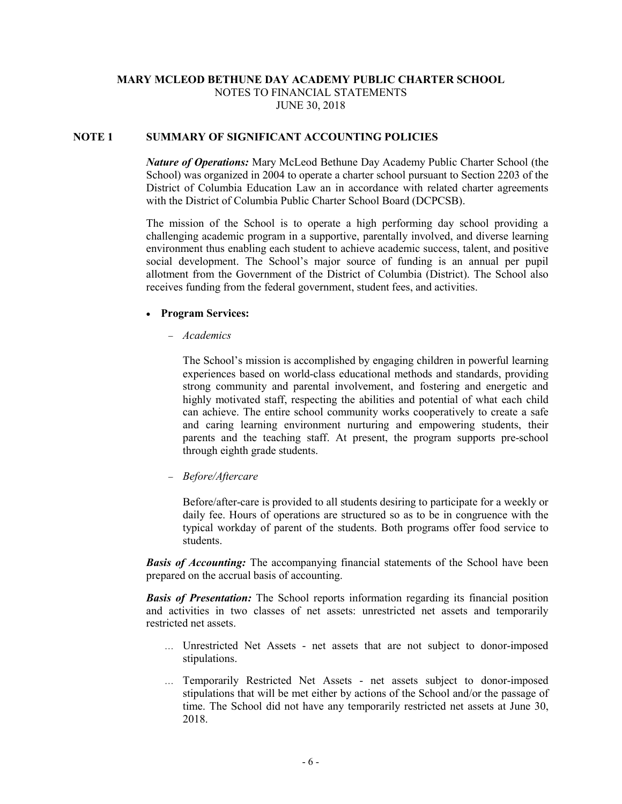## **MARY MCLEOD BETHUNE DAY ACADEMY PUBLIC CHARTER SCHOOL** NOTES TO FINANCIAL STATEMENTS JUNE 30, 2018

#### **NOTE 1 SUMMARY OF SIGNIFICANT ACCOUNTING POLICIES**

*Nature of Operations:* Mary McLeod Bethune Day Academy Public Charter School (the School) was organized in 2004 to operate a charter school pursuant to Section 2203 of the District of Columbia Education Law an in accordance with related charter agreements with the District of Columbia Public Charter School Board (DCPCSB).

The mission of the School is to operate a high performing day school providing a challenging academic program in a supportive, parentally involved, and diverse learning environment thus enabling each student to achieve academic success, talent, and positive social development. The School's major source of funding is an annual per pupil allotment from the Government of the District of Columbia (District). The School also receives funding from the federal government, student fees, and activities.

#### • **Program Services:**

− *Academics*

The School's mission is accomplished by engaging children in powerful learning experiences based on world-class educational methods and standards, providing strong community and parental involvement, and fostering and energetic and highly motivated staff, respecting the abilities and potential of what each child can achieve. The entire school community works cooperatively to create a safe and caring learning environment nurturing and empowering students, their parents and the teaching staff. At present, the program supports pre-school through eighth grade students.

− *Before/Aftercare*

Before/after-care is provided to all students desiring to participate for a weekly or daily fee. Hours of operations are structured so as to be in congruence with the typical workday of parent of the students. Both programs offer food service to students.

*Basis of Accounting:* The accompanying financial statements of the School have been prepared on the accrual basis of accounting.

*Basis of Presentation:* The School reports information regarding its financial position and activities in two classes of net assets: unrestricted net assets and temporarily restricted net assets.

- … Unrestricted Net Assets net assets that are not subject to donor-imposed stipulations.
- … Temporarily Restricted Net Assets net assets subject to donor-imposed stipulations that will be met either by actions of the School and/or the passage of time. The School did not have any temporarily restricted net assets at June 30, 2018.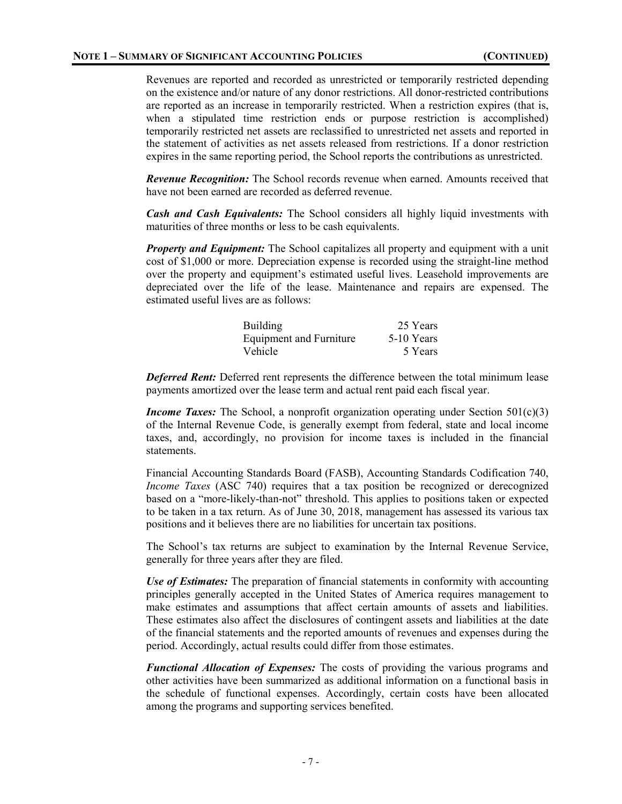Revenues are reported and recorded as unrestricted or temporarily restricted depending on the existence and/or nature of any donor restrictions. All donor-restricted contributions are reported as an increase in temporarily restricted. When a restriction expires (that is, when a stipulated time restriction ends or purpose restriction is accomplished) temporarily restricted net assets are reclassified to unrestricted net assets and reported in the statement of activities as net assets released from restrictions. If a donor restriction expires in the same reporting period, the School reports the contributions as unrestricted.

*Revenue Recognition:* The School records revenue when earned. Amounts received that have not been earned are recorded as deferred revenue.

*Cash and Cash Equivalents:* The School considers all highly liquid investments with maturities of three months or less to be cash equivalents.

*Property and Equipment:* The School capitalizes all property and equipment with a unit cost of \$1,000 or more. Depreciation expense is recorded using the straight-line method over the property and equipment's estimated useful lives. Leasehold improvements are depreciated over the life of the lease. Maintenance and repairs are expensed. The estimated useful lives are as follows:

| <b>Building</b>                | 25 Years   |
|--------------------------------|------------|
| <b>Equipment and Furniture</b> | 5-10 Years |
| Vehicle                        | 5 Years    |

*Deferred Rent:* Deferred rent represents the difference between the total minimum lease payments amortized over the lease term and actual rent paid each fiscal year.

*Income Taxes:* The School, a nonprofit organization operating under Section 501(c)(3) of the Internal Revenue Code, is generally exempt from federal, state and local income taxes, and, accordingly, no provision for income taxes is included in the financial statements.

Financial Accounting Standards Board (FASB), Accounting Standards Codification 740, *Income Taxes* (ASC 740) requires that a tax position be recognized or derecognized based on a "more-likely-than-not" threshold. This applies to positions taken or expected to be taken in a tax return. As of June 30, 2018, management has assessed its various tax positions and it believes there are no liabilities for uncertain tax positions.

The School's tax returns are subject to examination by the Internal Revenue Service, generally for three years after they are filed.

*Use of Estimates:* The preparation of financial statements in conformity with accounting principles generally accepted in the United States of America requires management to make estimates and assumptions that affect certain amounts of assets and liabilities. These estimates also affect the disclosures of contingent assets and liabilities at the date of the financial statements and the reported amounts of revenues and expenses during the period. Accordingly, actual results could differ from those estimates.

*Functional Allocation of Expenses:* The costs of providing the various programs and other activities have been summarized as additional information on a functional basis in the schedule of functional expenses. Accordingly, certain costs have been allocated among the programs and supporting services benefited.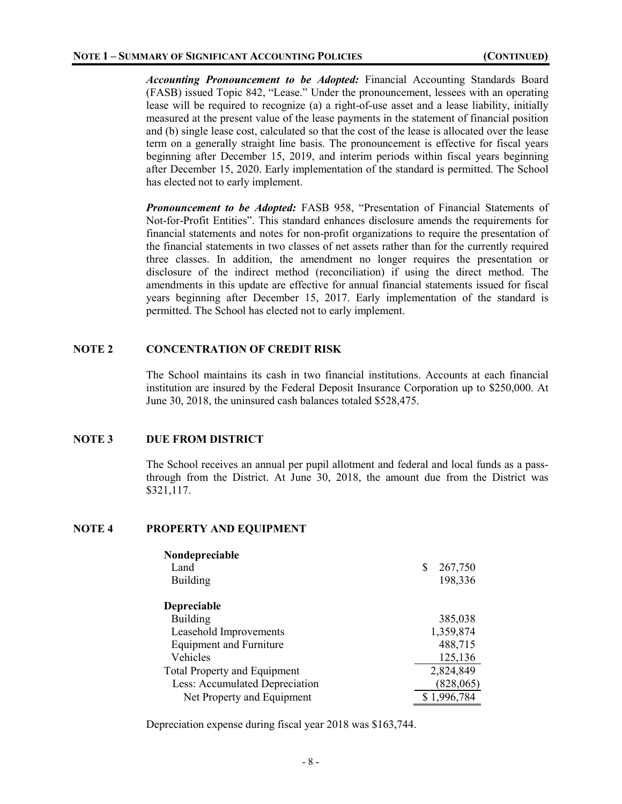*Accounting Pronouncement to be Adopted:* Financial Accounting Standards Board (FASB) issued Topic 842, "Lease." Under the pronouncement, lessees with an operating lease will be required to recognize (a) a right-of-use asset and a lease liability, initially measured at the present value of the lease payments in the statement of financial position and (b) single lease cost, calculated so that the cost of the lease is allocated over the lease term on a generally straight line basis. The pronouncement is effective for fiscal years beginning after December 15, 2019, and interim periods within fiscal years beginning after December 15, 2020. Early implementation of the standard is permitted. The School has elected not to early implement.

*Pronouncement to be Adopted:* FASB 958, "Presentation of Financial Statements of Not-for-Profit Entities". This standard enhances disclosure amends the requirements for financial statements and notes for non-profit organizations to require the presentation of the financial statements in two classes of net assets rather than for the currently required three classes. In addition, the amendment no longer requires the presentation or disclosure of the indirect method (reconciliation) if using the direct method. The amendments in this update are effective for annual financial statements issued for fiscal years beginning after December 15, 2017. Early implementation of the standard is permitted. The School has elected not to early implement.

### **NOTE 2 CONCENTRATION OF CREDIT RISK**

The School maintains its cash in two financial institutions. Accounts at each financial institution are insured by the Federal Deposit Insurance Corporation up to \$250,000. At June 30, 2018, the uninsured cash balances totaled \$528,475.

### **NOTE 3 DUE FROM DISTRICT**

The School receives an annual per pupil allotment and federal and local funds as a passthrough from the District. At June 30, 2018, the amount due from the District was \$321,117.

#### **NOTE 4 PROPERTY AND EQUIPMENT**

| Nondepreciable                      |               |
|-------------------------------------|---------------|
| Land                                | 267,750<br>\$ |
| <b>Building</b>                     | 198,336       |
| <b>Depreciable</b>                  |               |
| <b>Building</b>                     | 385,038       |
| Leasehold Improvements              | 1,359,874     |
| <b>Equipment and Furniture</b>      | 488,715       |
| Vehicles                            | 125,136       |
| <b>Total Property and Equipment</b> | 2,824,849     |
| Less: Accumulated Depreciation      | (828, 065)    |
| Net Property and Equipment          | \$1,996,784   |

Depreciation expense during fiscal year 2018 was \$163,744.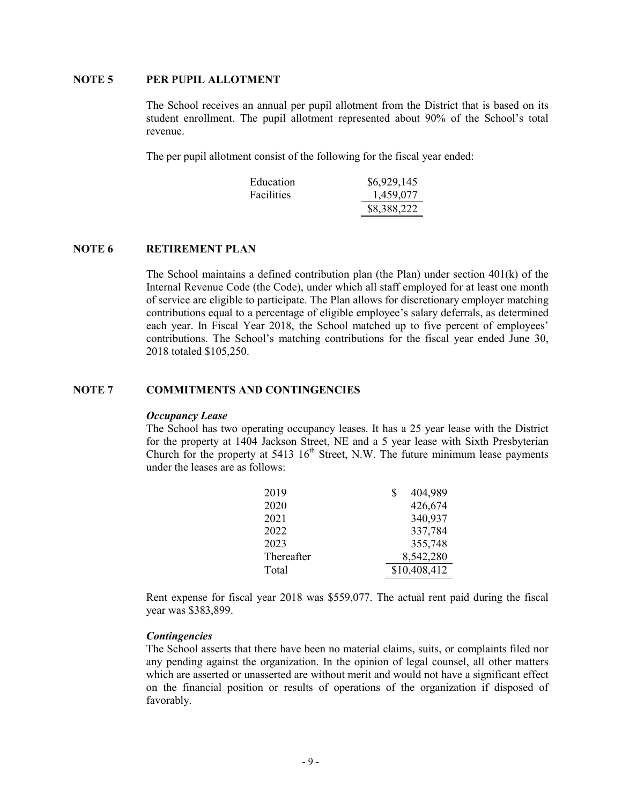#### **NOTE 5 PER PUPIL ALLOTMENT**

The School receives an annual per pupil allotment from the District that is based on its student enrollment. The pupil allotment represented about 90% of the School's total revenue.

The per pupil allotment consist of the following for the fiscal year ended:

| Education         | \$6,929,145 |
|-------------------|-------------|
| <b>Facilities</b> | 1,459,077   |
|                   | \$8,388,222 |

#### **NOTE 6 RETIREMENT PLAN**

The School maintains a defined contribution plan (the Plan) under section  $401(k)$  of the Internal Revenue Code (the Code), under which all staff employed for at least one month of service are eligible to participate. The Plan allows for discretionary employer matching contributions equal to a percentage of eligible employee's salary deferrals, as determined each year. In Fiscal Year 2018, the School matched up to five percent of employees' contributions. The School's matching contributions for the fiscal year ended June 30, 2018 totaled \$105,250.

#### **NOTE 7 COMMITMENTS AND CONTINGENCIES**

#### *Occupancy Lease*

The School has two operating occupancy leases. It has a 25 year lease with the District for the property at 1404 Jackson Street, NE and a 5 year lease with Sixth Presbyterian Church for the property at  $5413 \, 16^{th}$  Street, N.W. The future minimum lease payments under the leases are as follows:

| 2019       | 404,989<br>S |
|------------|--------------|
| 2020       | 426,674      |
| 2021       | 340,937      |
| 2022       | 337,784      |
| 2023       | 355,748      |
| Thereafter | 8,542,280    |
| Total      | \$10,408,412 |

Rent expense for fiscal year 2018 was \$559,077. The actual rent paid during the fiscal year was \$383,899.

#### *Contingencies*

The School asserts that there have been no material claims, suits, or complaints filed nor any pending against the organization. In the opinion of legal counsel, all other matters which are asserted or unasserted are without merit and would not have a significant effect on the financial position or results of operations of the organization if disposed of favorably.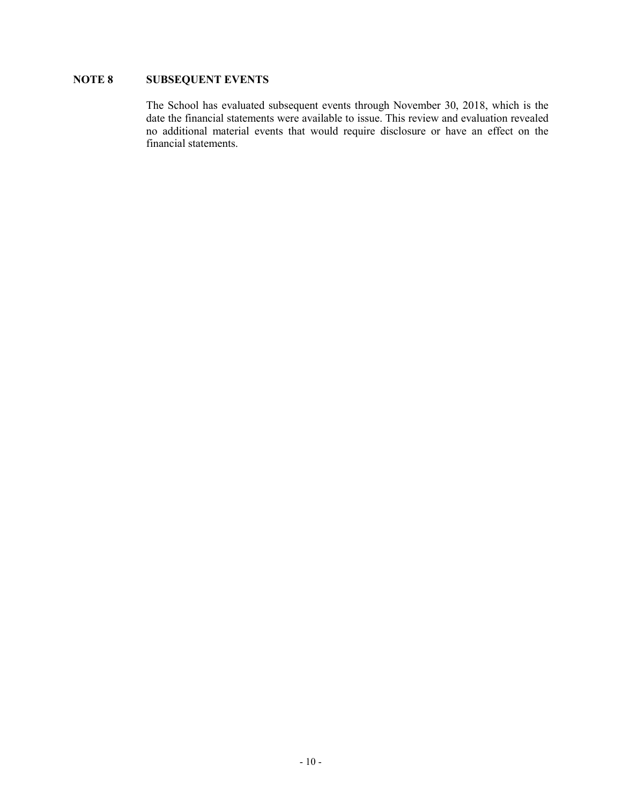## **NOTE 8 SUBSEQUENT EVENTS**

The School has evaluated subsequent events through November 30, 2018, which is the date the financial statements were available to issue. This review and evaluation revealed no additional material events that would require disclosure or have an effect on the financial statements.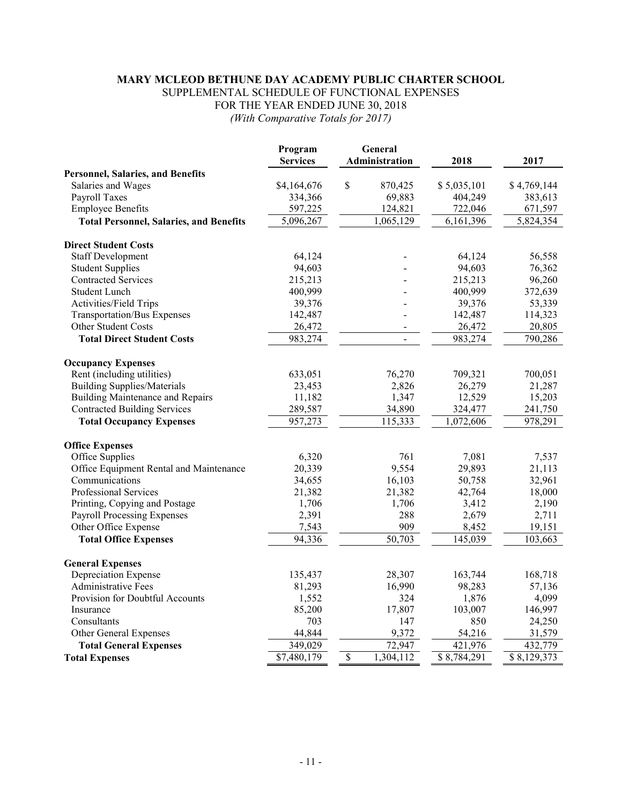### **MARY MCLEOD BETHUNE DAY ACADEMY PUBLIC CHARTER SCHOOL** SUPPLEMENTAL SCHEDULE OF FUNCTIONAL EXPENSES

FOR THE YEAR ENDED JUNE 30, 2018

*(With Comparative Totals for 2017)*

|                                                | Program<br><b>Services</b> | General<br>Administration | 2018        | 2017        |
|------------------------------------------------|----------------------------|---------------------------|-------------|-------------|
| <b>Personnel, Salaries, and Benefits</b>       |                            |                           |             |             |
| Salaries and Wages                             | \$4,164,676                | \$<br>870,425             | \$5,035,101 | \$4,769,144 |
| Payroll Taxes                                  | 334,366                    | 69,883                    | 404,249     | 383,613     |
| <b>Employee Benefits</b>                       | 597,225                    | 124,821                   | 722,046     | 671,597     |
| <b>Total Personnel, Salaries, and Benefits</b> | 5,096,267                  | 1,065,129                 | 6,161,396   | 5,824,354   |
| <b>Direct Student Costs</b>                    |                            |                           |             |             |
| <b>Staff Development</b>                       | 64,124                     |                           | 64,124      | 56,558      |
| <b>Student Supplies</b>                        | 94,603                     |                           | 94,603      | 76,362      |
| <b>Contracted Services</b>                     | 215,213                    |                           | 215,213     | 96,260      |
| <b>Student Lunch</b>                           | 400,999                    |                           | 400,999     | 372,639     |
| Activities/Field Trips                         | 39,376                     |                           | 39,376      | 53,339      |
| <b>Transportation/Bus Expenses</b>             | 142,487                    |                           | 142,487     | 114,323     |
| <b>Other Student Costs</b>                     | 26,472                     |                           | 26,472      | 20,805      |
| <b>Total Direct Student Costs</b>              | 983,274                    | $\blacksquare$            | 983,274     | 790,286     |
| <b>Occupancy Expenses</b>                      |                            |                           |             |             |
| Rent (including utilities)                     | 633,051                    | 76,270                    | 709,321     | 700,051     |
| <b>Building Supplies/Materials</b>             | 23,453                     | 2,826                     | 26,279      | 21,287      |
| <b>Building Maintenance and Repairs</b>        | 11,182                     | 1,347                     | 12,529      | 15,203      |
| <b>Contracted Building Services</b>            | 289,587                    | 34,890                    | 324,477     | 241,750     |
| <b>Total Occupancy Expenses</b>                | 957,273                    | 115,333                   | 1,072,606   | 978,291     |
| <b>Office Expenses</b>                         |                            |                           |             |             |
| Office Supplies                                | 6,320                      | 761                       | 7,081       | 7,537       |
| Office Equipment Rental and Maintenance        | 20,339                     | 9,554                     | 29,893      | 21,113      |
| Communications                                 | 34,655                     | 16,103                    | 50,758      | 32,961      |
| Professional Services                          | 21,382                     | 21,382                    | 42,764      | 18,000      |
| Printing, Copying and Postage                  | 1,706                      | 1,706                     | 3,412       | 2,190       |
| <b>Payroll Processing Expenses</b>             | 2,391                      | 288                       | 2,679       | 2,711       |
| Other Office Expense                           | 7,543                      | 909                       | 8,452       | 19,151      |
| <b>Total Office Expenses</b>                   | 94,336                     | 50,703                    | 145,039     | 103,663     |
| <b>General Expenses</b>                        |                            |                           |             |             |
| Depreciation Expense                           | 135,437                    | 28,307                    | 163,744     | 168,718     |
| <b>Administrative Fees</b>                     | 81,293                     | 16,990                    | 98,283      | 57,136      |
| Provision for Doubtful Accounts                | 1,552                      | 324                       | 1,876       | 4,099       |
| Insurance                                      | 85,200                     | 17,807                    | 103,007     | 146,997     |
| Consultants                                    | 703                        | 147                       | 850         | 24,250      |
| Other General Expenses                         | 44,844                     | 9,372                     | 54,216      | 31,579      |
| <b>Total General Expenses</b>                  | 349,029                    | 72,947                    | 421,976     | 432,779     |
| <b>Total Expenses</b>                          | \$7,480,179                | \$<br>1,304,112           | \$8,784,291 | \$8,129,373 |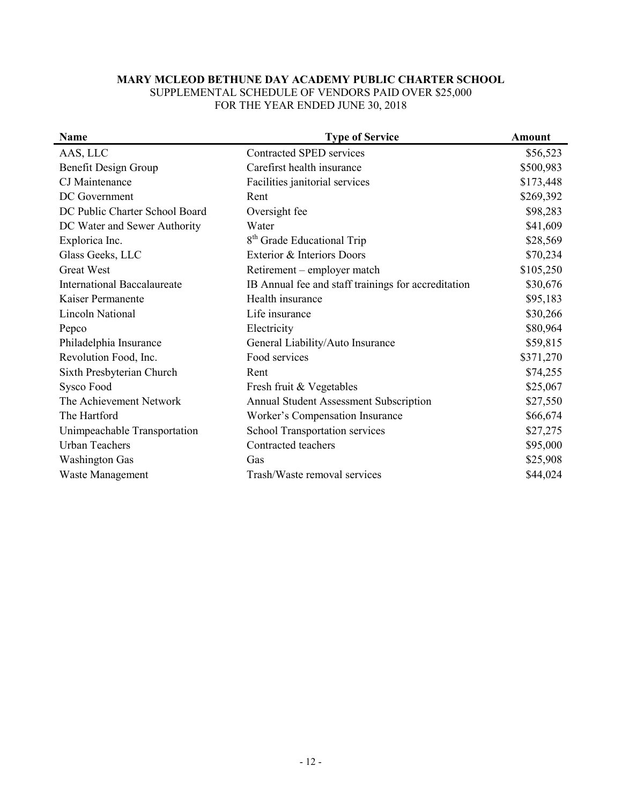## **MARY MCLEOD BETHUNE DAY ACADEMY PUBLIC CHARTER SCHOOL** SUPPLEMENTAL SCHEDULE OF VENDORS PAID OVER \$25,000

FOR THE YEAR ENDED JUNE 30, 2018

| Name                               | <b>Type of Service</b>                              | <b>Amount</b> |
|------------------------------------|-----------------------------------------------------|---------------|
| AAS, LLC                           | Contracted SPED services                            | \$56,523      |
| Benefit Design Group               | Carefirst health insurance                          | \$500,983     |
| CJ Maintenance                     | Facilities janitorial services                      | \$173,448     |
| DC Government                      | Rent                                                | \$269,392     |
| DC Public Charter School Board     | Oversight fee                                       | \$98,283      |
| DC Water and Sewer Authority       | Water                                               | \$41,609      |
| Explorica Inc.                     | 8 <sup>th</sup> Grade Educational Trip              | \$28,569      |
| Glass Geeks, LLC                   | Exterior & Interiors Doors                          | \$70,234      |
| <b>Great West</b>                  | Retirement – employer match                         | \$105,250     |
| <b>International Baccalaureate</b> | IB Annual fee and staff trainings for accreditation | \$30,676      |
| Kaiser Permanente                  | Health insurance                                    | \$95,183      |
| Lincoln National                   | Life insurance                                      | \$30,266      |
| Pepco                              | Electricity                                         | \$80,964      |
| Philadelphia Insurance             | General Liability/Auto Insurance                    | \$59,815      |
| Revolution Food, Inc.              | Food services                                       | \$371,270     |
| Sixth Presbyterian Church          | Rent                                                | \$74,255      |
| Sysco Food                         | Fresh fruit & Vegetables                            | \$25,067      |
| The Achievement Network            | Annual Student Assessment Subscription              | \$27,550      |
| The Hartford                       | Worker's Compensation Insurance                     | \$66,674      |
| Unimpeachable Transportation       | School Transportation services                      | \$27,275      |
| <b>Urban Teachers</b>              | Contracted teachers                                 | \$95,000      |
| <b>Washington Gas</b>              | Gas                                                 | \$25,908      |
| Waste Management                   | Trash/Waste removal services                        | \$44,024      |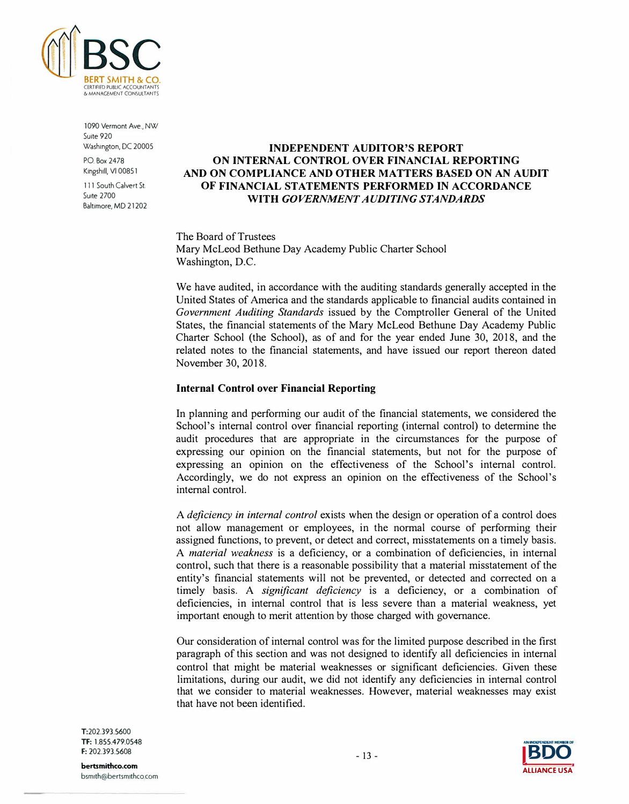

1090 Vermont Ave., NW Suite 920 Washington, DC 20005

P.O. Box 2478 Kingshill, VI 00851

111 South Calvert St. Suite 2700 Baltimore, MD 21202

## **INDEPENDENT AUDITOR'S REPORT ON INTERNAL CONTROL OVER FINANCIAL REPORTING AND ON COMPLIANCE AND OTHER MATTERS BASED ON AN AUDIT OF FINANCIAL STATEMENTS PERFORMED** IN **ACCORDANCE WITH** *GOVERNMENT AUDITING STANDARDS*

The Board of Trustees Mary McLeod Bethune Day Academy Public Charter School Washington, D.C.

We have audited, in accordance with the auditing standards generally accepted in the United States of America and the standards applicable to financial audits contained in *Government Auditing Standards* issued by the Comptroller General of the United States, the financial statements of the Mary McLeod Bethune Day Academy Public Charter School (the School), as of and for the year ended June 30, 2018, and the related notes to the financial statements, and have issued our report thereon dated November 30, 2018.

#### **Internal Control over Financial Reporting**

In planning and performing our audit of the financial statements, we considered the School's internal control over financial reporting (internal control) to determine the audit procedures that are appropriate in the circumstances for the purpose of expressing our opinion on the financial statements, but not for the purpose of expressing an opinion on the effectiveness of the School's internal control. Accordingly, we do not express an opinion on the effectiveness of the School's internal control.

A *deficiency in internal control* exists when the design or operation of a control does not allow management or employees, in the normal course of performing their assigned functions, to prevent, or detect and correct, misstatements on a timely basis. A *material weakness* is a deficiency, or a combination of deficiencies, in internal control, such that there is a reasonable possibility that a material misstatement of the entity's financial statements will not be prevented, or detected and corrected on a timely basis. A *significant deficiency* is a deficiency, or a combination of deficiencies, in internal control that is less severe than a material weakness, yet important enough to merit attention by those charged with governance.

Our consideration of internal control was for the limited purpose described in the first paragraph of this section and was not designed to identify all deficiencies in internal control that might be material weaknesses or significant deficiencies. Given these limitations, during our audit, we did not identify any deficiencies in internal control that we consider to material weaknesses. However, material weaknesses may exist that have not been identified.

T:202.393.5600 TF: 1.855.479.0548 F: 202.393.5608

- 13 - **IBDO ALLIANCE USA**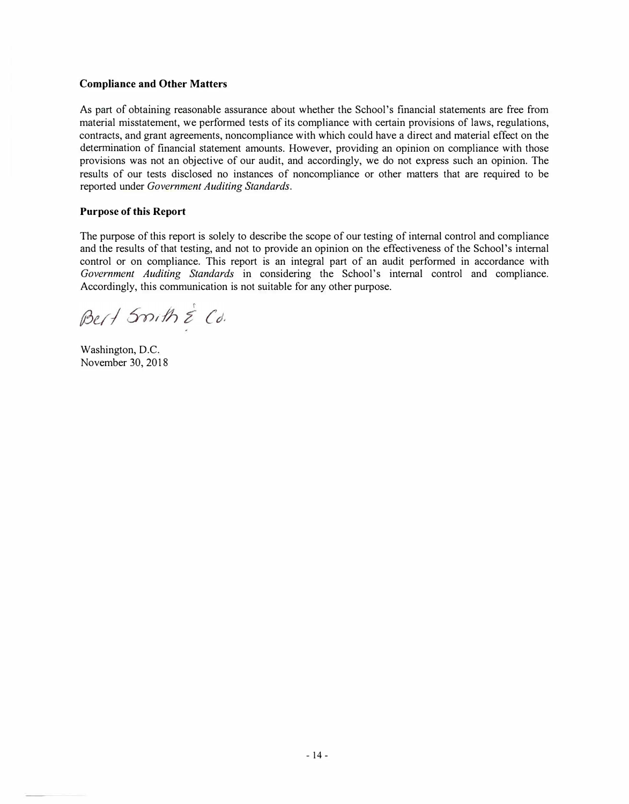## **Compliance and Other Matters**

As part of obtaining reasonable assurance about whether the School's financial statements are free from material misstatement, we per<sup>f</sup>ormed tests of its compliance with certain provisions of laws, regulations, contracts, and grant agreements, noncompliance with which could have a direct and material effect on the determination of financial statement amounts. However, providing an opinion on compliance with those provisions was not an objective of our audit, and accordingly, we do not express such an opinion. The results of our tests disclosed no instances of noncompliance or other matters that are required to be reported under *Government Auditing Standards.* 

### **Purpose of this Report**

The purpose of this report is solely to describe the scope of our testing of internal control and compliance and the results of that testing, and not to provide an opinion on the effectiveness of the School's internal control or on compliance. This report is an integral part of an audit performed in accordance with *Government Auditing Standards* in considering the School's internal control and compliance. Accordingly, this communication is not suitable for any other purpose.

Bert Smith & Cd.

Washington, D.C. November 30, 2018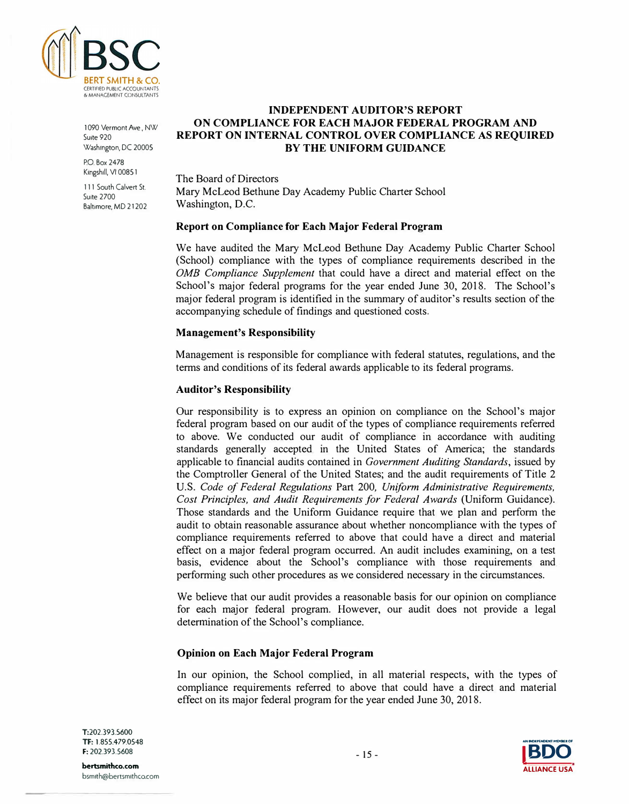

1090 Vermont Ave., NW Suite 920 Washington, DC 20005

P.O. Box 2478 Kingshill, VI 00851

111 South Calvert St. **Suite 2700** Baltimore, MD 21202

## **INDEPENDENT AUDITOR'S REPORT ON COMPLIANCE FOR EACH MAJOR FEDERAL PROGRAM AND REPORT ON INTERNAL CONTROL OVER COMPLIANCE AS REQUIRED BY THE UNIFORM GUIDANCE**

The Board of Directors Mary McLeod Bethune Day Academy Public Charter School Washington, D.C.

### **Report on Compliance for Each Major Federal Program**

We have audited the Mary McLeod Bethune Day Academy Public Charter School (School) compliance with the types of compliance requirements described in the *0MB Compliance Supplement* that could have a direct and material effect on the School's major federal programs for the year ended June 30, 2018. The School's major federal program is identified in the summary of auditor's results section of the accompanying schedule of findings and questioned costs.

#### **Management's Responsibility**

Management is responsible for compliance with federal statutes, regulations, and the terms and conditions of its federal awards applicable to its federal programs.

### **Auditor's Responsibility**

Our responsibility is to express an opinion on compliance on the School's major federal program based on our audit of the types of compliance requirements referred to above. We conducted our audit of compliance in accordance with auditing standards generally accepted in the United States of America; the standards applicable to financial audits contained in *Government Auditing Standards,* issued by the Comptroller General of the United States; and the audit requirements of Title 2 U.S. *Code of Federal Regulations* Part 200, *Uniform Administrative Requirements, Cost Principles, and Audit Requirements for Federal Awards* (Uniform Guidance). Those standards and the Uniform Guidance require that we plan and per<sup>f</sup>orm the audit to obtain reasonable assurance about whether noncompliance with the types of compliance requirements referred to above that could have a direct and material effect on a major federal program occurred. An audit includes examining, on a test basis, evidence about the School's compliance with those requirements and performing such other procedures as we considered necessary in the circumstances.

We believe that our audit provides a reasonable basis for our opinion on compliance for each major federal program. However, our audit does not provide a legal determination of the School's compliance.

#### **Opinion on Each Major Federal Program**

In our opinion, the School complied, in all material respects, with the types of compliance requirements referred to above that could have a direct and material effect on its major federal program for the year ended June 30, 2018.

T:202.393.5600 Tf: 1.855.479.0548 F: 202.393.5608

**bertsmithco.com**  bsm1th@bertsm1thco.com

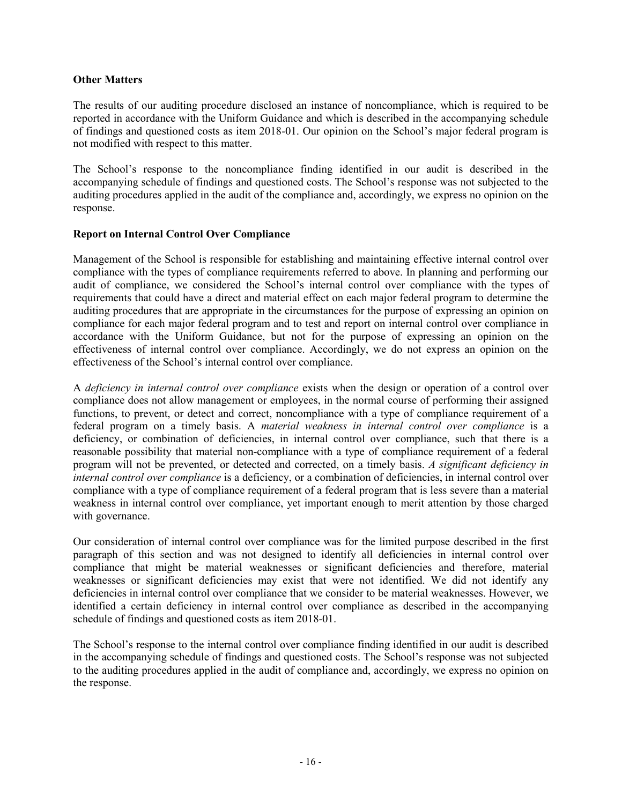## **Other Matters**

The results of our auditing procedure disclosed an instance of noncompliance, which is required to be reported in accordance with the Uniform Guidance and which is described in the accompanying schedule of findings and questioned costs as item 2018-01. Our opinion on the School's major federal program is not modified with respect to this matter.

The School's response to the noncompliance finding identified in our audit is described in the accompanying schedule of findings and questioned costs. The School's response was not subjected to the auditing procedures applied in the audit of the compliance and, accordingly, we express no opinion on the response.

## **Report on Internal Control Over Compliance**

Management of the School is responsible for establishing and maintaining effective internal control over compliance with the types of compliance requirements referred to above. In planning and performing our audit of compliance, we considered the School's internal control over compliance with the types of requirements that could have a direct and material effect on each major federal program to determine the auditing procedures that are appropriate in the circumstances for the purpose of expressing an opinion on compliance for each major federal program and to test and report on internal control over compliance in accordance with the Uniform Guidance, but not for the purpose of expressing an opinion on the effectiveness of internal control over compliance. Accordingly, we do not express an opinion on the effectiveness of the School's internal control over compliance.

A *deficiency in internal control over compliance* exists when the design or operation of a control over compliance does not allow management or employees, in the normal course of performing their assigned functions, to prevent, or detect and correct, noncompliance with a type of compliance requirement of a federal program on a timely basis. A *material weakness in internal control over compliance* is a deficiency, or combination of deficiencies, in internal control over compliance, such that there is a reasonable possibility that material non-compliance with a type of compliance requirement of a federal program will not be prevented, or detected and corrected, on a timely basis. *A significant deficiency in internal control over compliance* is a deficiency, or a combination of deficiencies, in internal control over compliance with a type of compliance requirement of a federal program that is less severe than a material weakness in internal control over compliance, yet important enough to merit attention by those charged with governance.

Our consideration of internal control over compliance was for the limited purpose described in the first paragraph of this section and was not designed to identify all deficiencies in internal control over compliance that might be material weaknesses or significant deficiencies and therefore, material weaknesses or significant deficiencies may exist that were not identified. We did not identify any deficiencies in internal control over compliance that we consider to be material weaknesses. However, we identified a certain deficiency in internal control over compliance as described in the accompanying schedule of findings and questioned costs as item 2018-01.

The School's response to the internal control over compliance finding identified in our audit is described in the accompanying schedule of findings and questioned costs. The School's response was not subjected to the auditing procedures applied in the audit of compliance and, accordingly, we express no opinion on the response.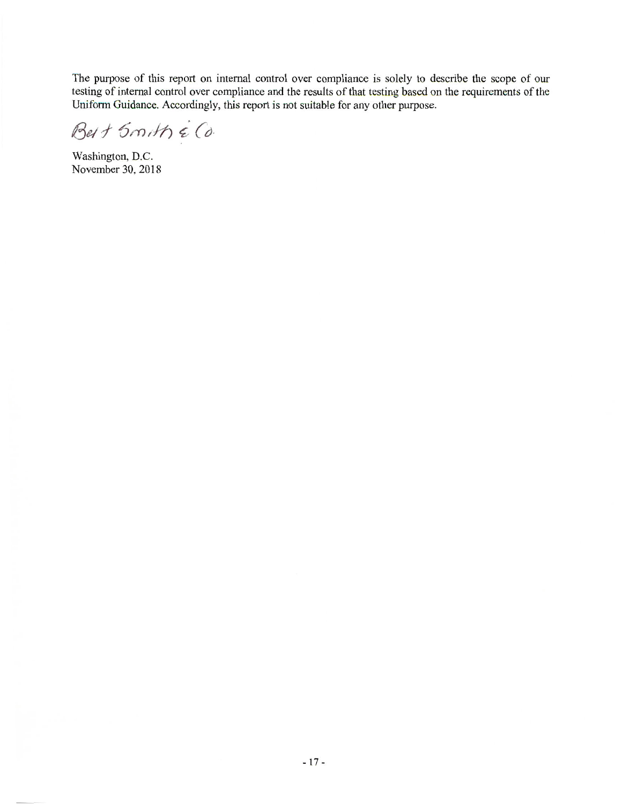The purpose of this report on internal control over compliance is solely to describe the scope of our testing of internal control over compliance and the results of that testing based on the requirements of the Uniform Guidance. Accordingly, this report is not suitable for any other purpose.

Best Smith & Co.

Washington, D.C. November 30, 2018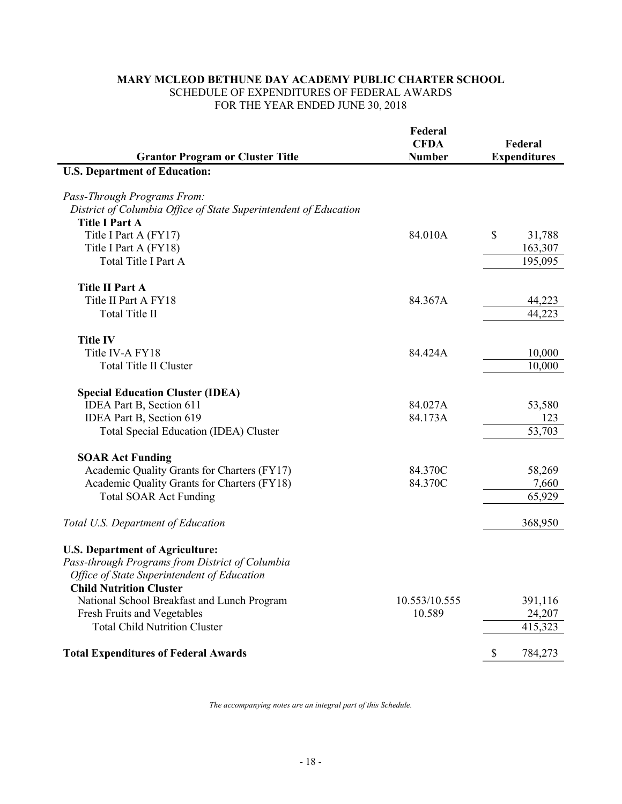## **MARY MCLEOD BETHUNE DAY ACADEMY PUBLIC CHARTER SCHOOL** SCHEDULE OF EXPENDITURES OF FEDERAL AWARDS FOR THE YEAR ENDED JUNE 30, 2018

| Federal<br><b>CFDA</b>                                                                    | Federal                 |
|-------------------------------------------------------------------------------------------|-------------------------|
| <b>Grantor Program or Cluster Title</b><br><b>Number</b>                                  | <b>Expenditures</b>     |
| <b>U.S. Department of Education:</b>                                                      |                         |
|                                                                                           |                         |
| Pass-Through Programs From:                                                               |                         |
| District of Columbia Office of State Superintendent of Education<br><b>Title I Part A</b> |                         |
| Title I Part A (FY17)<br>84.010A                                                          | \$<br>31,788            |
| Title I Part A (FY18)                                                                     | 163,307                 |
| Total Title I Part A                                                                      | 195,095                 |
|                                                                                           |                         |
| <b>Title II Part A</b>                                                                    |                         |
| Title II Part A FY18<br>84.367A                                                           | 44,223                  |
| Total Title II                                                                            | 44,223                  |
|                                                                                           |                         |
| <b>Title IV</b>                                                                           |                         |
| Title IV-A FY18<br>84.424A                                                                | 10,000                  |
| <b>Total Title II Cluster</b>                                                             | 10,000                  |
|                                                                                           |                         |
| <b>Special Education Cluster (IDEA)</b>                                                   |                         |
| 84.027A<br>IDEA Part B, Section 611                                                       | 53,580                  |
| IDEA Part B, Section 619<br>84.173A                                                       | 123                     |
| Total Special Education (IDEA) Cluster                                                    | 53,703                  |
| <b>SOAR Act Funding</b>                                                                   |                         |
| Academic Quality Grants for Charters (FY17)<br>84.370C                                    | 58,269                  |
| Academic Quality Grants for Charters (FY18)<br>84.370C                                    | 7,660                   |
| <b>Total SOAR Act Funding</b>                                                             | 65,929                  |
|                                                                                           |                         |
| Total U.S. Department of Education                                                        | 368,950                 |
|                                                                                           |                         |
| <b>U.S. Department of Agriculture:</b><br>Pass-through Programs from District of Columbia |                         |
| Office of State Superintendent of Education                                               |                         |
| <b>Child Nutrition Cluster</b>                                                            |                         |
| National School Breakfast and Lunch Program<br>10.553/10.555                              | 391,116                 |
| Fresh Fruits and Vegetables<br>10.589                                                     | 24,207                  |
| <b>Total Child Nutrition Cluster</b>                                                      | 415,323                 |
|                                                                                           |                         |
| <b>Total Expenditures of Federal Awards</b>                                               | 784,273<br>$\mathbb{S}$ |

*The accompanying notes are an integral part of this Schedule.*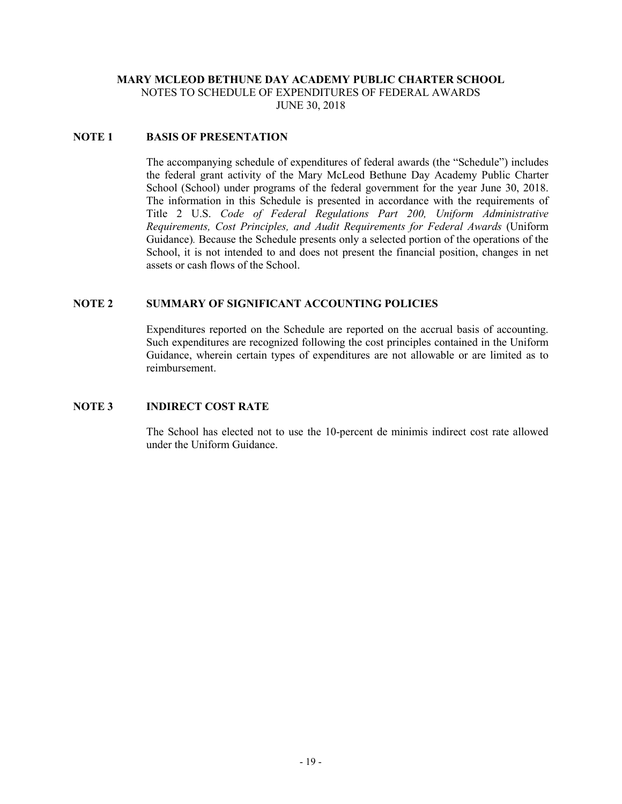## **MARY MCLEOD BETHUNE DAY ACADEMY PUBLIC CHARTER SCHOOL** NOTES TO SCHEDULE OF EXPENDITURES OF FEDERAL AWARDS

JUNE 30, 2018

## **NOTE 1 BASIS OF PRESENTATION**

The accompanying schedule of expenditures of federal awards (the "Schedule") includes the federal grant activity of the Mary McLeod Bethune Day Academy Public Charter School (School) under programs of the federal government for the year June 30, 2018. The information in this Schedule is presented in accordance with the requirements of Title 2 U.S. *Code of Federal Regulations Part 200, Uniform Administrative Requirements, Cost Principles, and Audit Requirements for Federal Awards* (Uniform Guidance)*.* Because the Schedule presents only a selected portion of the operations of the School, it is not intended to and does not present the financial position, changes in net assets or cash flows of the School.

## **NOTE 2 SUMMARY OF SIGNIFICANT ACCOUNTING POLICIES**

Expenditures reported on the Schedule are reported on the accrual basis of accounting. Such expenditures are recognized following the cost principles contained in the Uniform Guidance, wherein certain types of expenditures are not allowable or are limited as to reimbursement.

### **NOTE 3 INDIRECT COST RATE**

The School has elected not to use the 10-percent de minimis indirect cost rate allowed under the Uniform Guidance.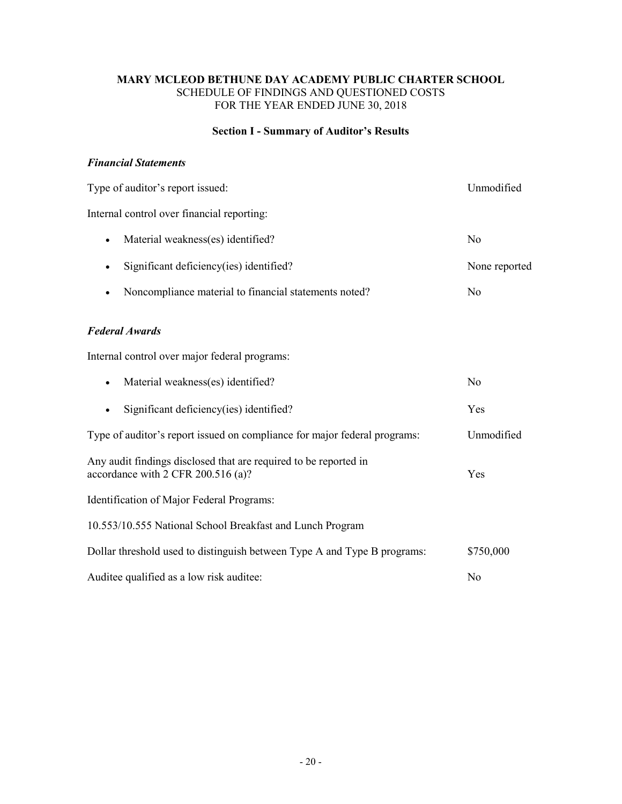## **Section I - Summary of Auditor's Results**

## *Financial Statements*

| Type of auditor's report issued:                                                                       | Unmodified     |
|--------------------------------------------------------------------------------------------------------|----------------|
| Internal control over financial reporting:                                                             |                |
| Material weakness(es) identified?<br>$\bullet$                                                         | N <sub>0</sub> |
| Significant deficiency(ies) identified?                                                                | None reported  |
| Noncompliance material to financial statements noted?                                                  | N <sub>0</sub> |
| <b>Federal Awards</b>                                                                                  |                |
| Internal control over major federal programs:                                                          |                |
| Material weakness(es) identified?<br>$\bullet$                                                         | N <sub>0</sub> |
| Significant deficiency(ies) identified?<br>$\bullet$                                                   | Yes            |
| Type of auditor's report issued on compliance for major federal programs:                              | Unmodified     |
| Any audit findings disclosed that are required to be reported in<br>accordance with 2 CFR 200.516 (a)? | Yes            |
| Identification of Major Federal Programs:                                                              |                |
| 10.553/10.555 National School Breakfast and Lunch Program                                              |                |
| Dollar threshold used to distinguish between Type A and Type B programs:                               | \$750,000      |
| Auditee qualified as a low risk auditee:                                                               | N <sub>0</sub> |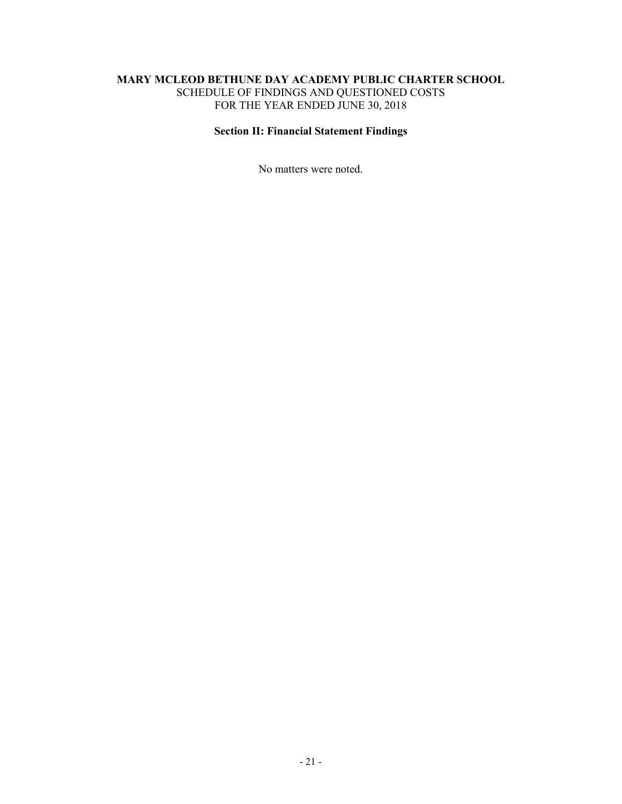## **Section II: Financial Statement Findings**

No matters were noted.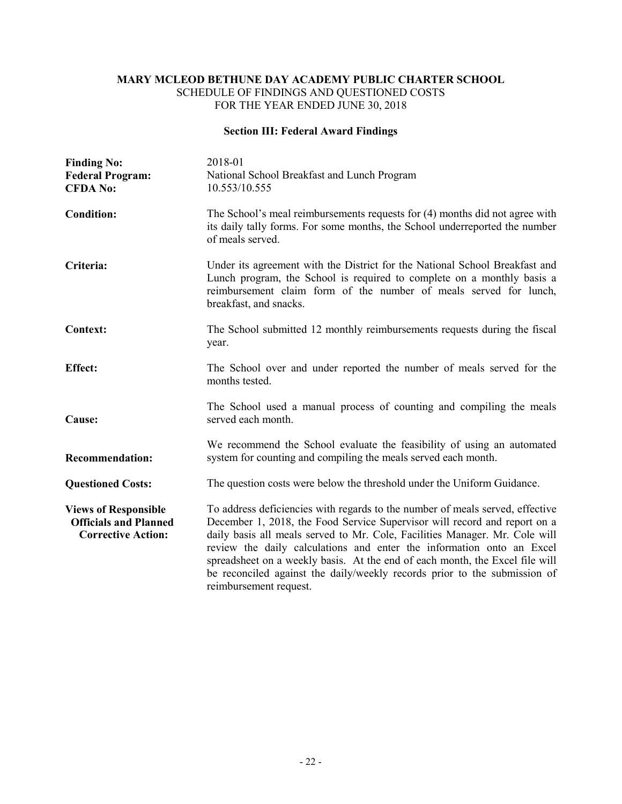## **Section III: Federal Award Findings**

| <b>Finding No:</b><br><b>Federal Program:</b><br><b>CFDA No:</b>                         | 2018-01<br>National School Breakfast and Lunch Program<br>10.553/10.555                                                                                                                                                                                                                                                                                                                                                                                                                                   |
|------------------------------------------------------------------------------------------|-----------------------------------------------------------------------------------------------------------------------------------------------------------------------------------------------------------------------------------------------------------------------------------------------------------------------------------------------------------------------------------------------------------------------------------------------------------------------------------------------------------|
| <b>Condition:</b>                                                                        | The School's meal reimbursements requests for (4) months did not agree with<br>its daily tally forms. For some months, the School underreported the number<br>of meals served.                                                                                                                                                                                                                                                                                                                            |
| Criteria:                                                                                | Under its agreement with the District for the National School Breakfast and<br>Lunch program, the School is required to complete on a monthly basis a<br>reimbursement claim form of the number of meals served for lunch,<br>breakfast, and snacks.                                                                                                                                                                                                                                                      |
| <b>Context:</b>                                                                          | The School submitted 12 monthly reimbursements requests during the fiscal<br>year.                                                                                                                                                                                                                                                                                                                                                                                                                        |
| <b>Effect:</b>                                                                           | The School over and under reported the number of meals served for the<br>months tested.                                                                                                                                                                                                                                                                                                                                                                                                                   |
| Cause:                                                                                   | The School used a manual process of counting and compiling the meals<br>served each month.                                                                                                                                                                                                                                                                                                                                                                                                                |
| <b>Recommendation:</b>                                                                   | We recommend the School evaluate the feasibility of using an automated<br>system for counting and compiling the meals served each month.                                                                                                                                                                                                                                                                                                                                                                  |
| <b>Questioned Costs:</b>                                                                 | The question costs were below the threshold under the Uniform Guidance.                                                                                                                                                                                                                                                                                                                                                                                                                                   |
| <b>Views of Responsible</b><br><b>Officials and Planned</b><br><b>Corrective Action:</b> | To address deficiencies with regards to the number of meals served, effective<br>December 1, 2018, the Food Service Supervisor will record and report on a<br>daily basis all meals served to Mr. Cole, Facilities Manager. Mr. Cole will<br>review the daily calculations and enter the information onto an Excel<br>spreadsheet on a weekly basis. At the end of each month, the Excel file will<br>be reconciled against the daily/weekly records prior to the submission of<br>reimbursement request. |